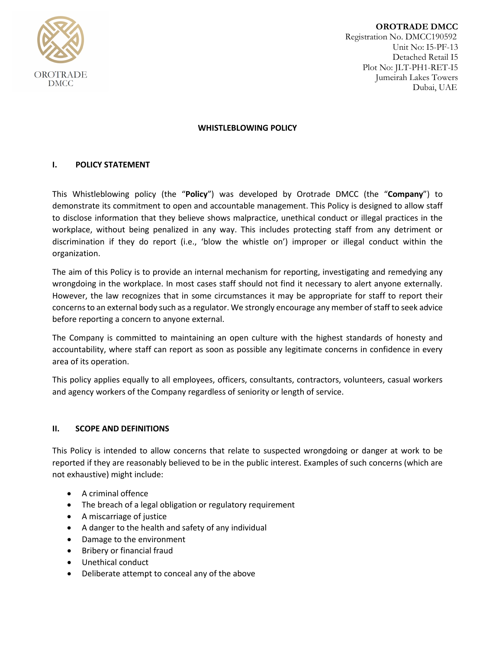

**OROTRADE DMCC** Registration No. DMCC190592 Unit No: I5-PF-13 Detached Retail I5 Plot No: JLT-PH1-RET-I5 Jumeirah Lakes Towers Dubai, UAE

## **WHISTLEBLOWING POLICY**

## **I. POLICY STATEMENT**

This Whistleblowing policy (the "**Policy**") was developed by Orotrade DMCC (the "**Company**") to demonstrate its commitment to open and accountable management. This Policy is designed to allow staff to disclose information that they believe shows malpractice, unethical conduct or illegal practices in the workplace, without being penalized in any way. This includes protecting staff from any detriment or discrimination if they do report (i.e., 'blow the whistle on') improper or illegal conduct within the organization.

The aim of this Policy is to provide an internal mechanism for reporting, investigating and remedying any wrongdoing in the workplace. In most cases staff should not find it necessary to alert anyone externally. However, the law recognizes that in some circumstances it may be appropriate for staff to report their concerns to an external body such as a regulator. We strongly encourage any member of staff to seek advice before reporting a concern to anyone external.

The Company is committed to maintaining an open culture with the highest standards of honesty and accountability, where staff can report as soon as possible any legitimate concerns in confidence in every area of its operation.

This policy applies equally to all employees, officers, consultants, contractors, volunteers, casual workers and agency workers of the Company regardless of seniority or length of service.

### **II. SCOPE AND DEFINITIONS**

This Policy is intended to allow concerns that relate to suspected wrongdoing or danger at work to be reported if they are reasonably believed to be in the public interest. Examples of such concerns (which are not exhaustive) might include:

- A criminal offence
- The breach of a legal obligation or regulatory requirement
- A miscarriage of justice
- A danger to the health and safety of any individual
- Damage to the environment
- Bribery or financial fraud
- Unethical conduct
- Deliberate attempt to conceal any of the above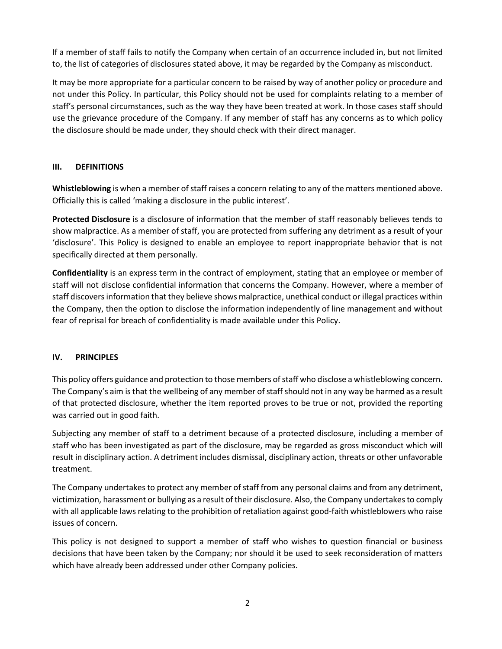If a member of staff fails to notify the Company when certain of an occurrence included in, but not limited to, the list of categories of disclosures stated above, it may be regarded by the Company as misconduct.

It may be more appropriate for a particular concern to be raised by way of another policy or procedure and not under this Policy. In particular, this Policy should not be used for complaints relating to a member of staff's personal circumstances, such as the way they have been treated at work. In those cases staff should use the grievance procedure of the Company. If any member of staff has any concerns as to which policy the disclosure should be made under, they should check with their direct manager.

# **III. DEFINITIONS**

**Whistleblowing** is when a member of staff raises a concern relating to any of the matters mentioned above. Officially this is called 'making a disclosure in the public interest'.

**Protected Disclosure** is a disclosure of information that the member of staff reasonably believes tends to show malpractice. As a member of staff, you are protected from suffering any detriment as a result of your 'disclosure'. This Policy is designed to enable an employee to report inappropriate behavior that is not specifically directed at them personally.

**Confidentiality** is an express term in the contract of employment, stating that an employee or member of staff will not disclose confidential information that concerns the Company. However, where a member of staff discovers information that they believe shows malpractice, unethical conduct or illegal practices within the Company, then the option to disclose the information independently of line management and without fear of reprisal for breach of confidentiality is made available under this Policy.

# **IV. PRINCIPLES**

This policy offers guidance and protection to those members of staff who disclose a whistleblowing concern. The Company's aim is that the wellbeing of any member of staff should not in any way be harmed as a result of that protected disclosure, whether the item reported proves to be true or not, provided the reporting was carried out in good faith.

Subjecting any member of staff to a detriment because of a protected disclosure, including a member of staff who has been investigated as part of the disclosure, may be regarded as gross misconduct which will result in disciplinary action. A detriment includes dismissal, disciplinary action, threats or other unfavorable treatment.

The Company undertakes to protect any member of staff from any personal claims and from any detriment, victimization, harassment or bullying as a result of their disclosure. Also, the Company undertakes to comply with all applicable laws relating to the prohibition of retaliation against good-faith whistleblowers who raise issues of concern.

This policy is not designed to support a member of staff who wishes to question financial or business decisions that have been taken by the Company; nor should it be used to seek reconsideration of matters which have already been addressed under other Company policies.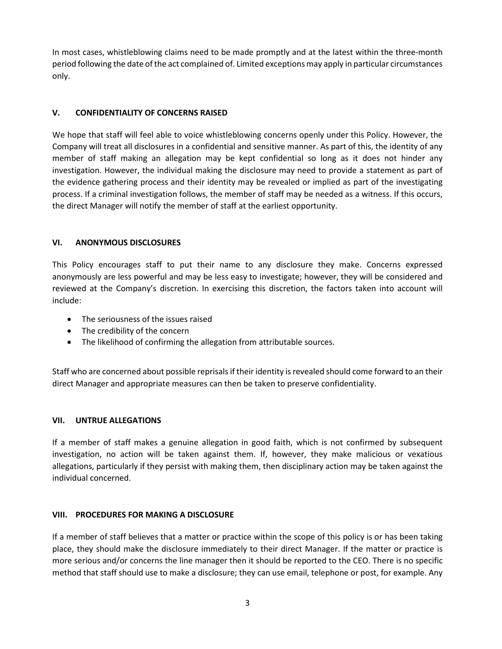In most cases, whistleblowing claims need to be made promptly and at the latest within the three-month period following the date of the act complained of. Limited exceptions may apply in particular circumstances only.

## **V. CONFIDENTIALITY OF CONCERNS RAISED**

We hope that staff will feel able to voice whistleblowing concerns openly under this Policy. However, the Company will treat all disclosures in a confidential and sensitive manner. As part of this, the identity of any member of staff making an allegation may be kept confidential so long as it does not hinder any investigation. However, the individual making the disclosure may need to provide a statement as part of the evidence gathering process and their identity may be revealed or implied as part of the investigating process. If a criminal investigation follows, the member of staff may be needed as a witness. If this occurs, the direct Manager will notify the member of staff at the earliest opportunity.

### **VI. ANONYMOUS DISCLOSURES**

This Policy encourages staff to put their name to any disclosure they make. Concerns expressed anonymously are less powerful and may be less easy to investigate; however, they will be considered and reviewed at the Company's discretion. In exercising this discretion, the factors taken into account will include:

- The seriousness of the issues raised
- The credibility of the concern
- The likelihood of confirming the allegation from attributable sources.

Staff who are concerned about possible reprisals if their identity is revealed should come forward to an their direct Manager and appropriate measures can then be taken to preserve confidentiality.

### **VII. UNTRUE ALLEGATIONS**

If a member of staff makes a genuine allegation in good faith, which is not confirmed by subsequent investigation, no action will be taken against them. If, however, they make malicious or vexatious allegations, particularly if they persist with making them, then disciplinary action may be taken against the individual concerned.

### **VIII. PROCEDURES FOR MAKING A DISCLOSURE**

If a member of staff believes that a matter or practice within the scope of this policy is or has been taking place, they should make the disclosure immediately to their direct Manager. If the matter or practice is more serious and/or concerns the line manager then it should be reported to the CEO. There is no specific method that staff should use to make a disclosure; they can use email, telephone or post, for example. Any